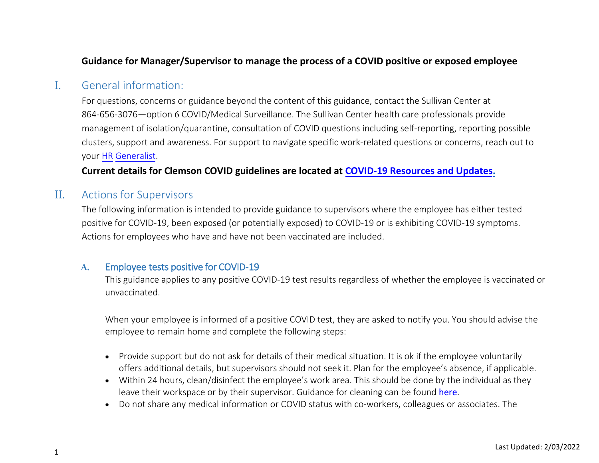## **Guidance for Manager/Supervisor to manage the process of a COVID positive or exposed employee**

# I. General information:

For questions, concerns or guidance beyond the content of this guidance, contact the Sullivan Center at 864-656-3076—option 6 COVID/Medical Surveillance. The Sullivan Center health care professionals provide management of isolation/quarantine, consultation of COVID questions including self-reporting, reporting possible clusters, support and awareness. For support to navigate specific work-related questions or concerns, reach [out to](https://www.clemson.edu/human-resources/contact/service-teams/index.html)  [your](https://www.clemson.edu/human-resources/contact/service-teams/index.html) HR Generalist.

## **Current details for Clemson COVID guidelines are located at [COVID-19 Resources and Updates.](https://www.clemson.edu/covid-19/index.html)**

# II. Actions for Supervisors

The following information is intended to provide guidance to supervisors where the employee has either tested positive for COVID-19, been exposed (or potentially exposed) to COVID-19 or is exhibiting COVID-19 symptoms. Actions for employees who have and have not been vaccinated are included.

## **A.** Employee tests positive for COVID-19

This guidance applies to any positive COVID-19 test results regardless of whether the employee is vaccinated or unvaccinated.

When your employee is informed of a positive COVID test, they are asked to notify you. You should advise the employee to remain home and complete the following steps:

- Provide support but do not ask for details of their medical situation. It is ok if the employee voluntarily offers additional details, but supervisors should not seek it. Plan for the employee's absence, if applicable.
- Within 24 hours, clean/disinfect the employee's work area. This should be done by the individual as they leave their workspace or by their supervisor. Guidance for cleaning can be found [here](https://www.cdc.gov/coronavirus/2019-ncov/community/disinfecting-building-facility.html).
- Do not share any medical information or COVID status with co-workers, colleagues or associates. The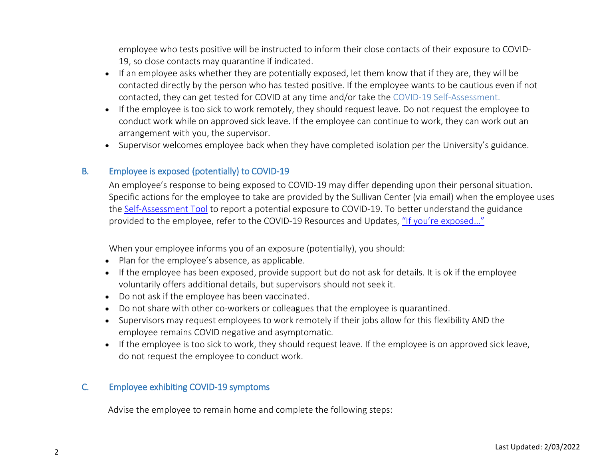employee who tests positive will be instructed to inform their close contacts of their exposure to COVID-19, so close contacts may quarantine if indicated.

- If an employee asks whether they are potentially exposed, let them know that if they are, they will be contacted directly by the person who has tested positive. If the employee wants to be cautious even if not contacted, they can [get tested](https://cucourse.app.clemson.edu/cvd19-testing/attendee.php) for COVID at any time and/or take the [COVID-19 Self-Assessment.](https://cvd19-self-assessment.app.clemson.edu/)
- If the employee is too sick to work remotely, they should request leave. Do not request the employee to conduct work while on approved sick leave. If the employee can continue to work, they can work out an arrangement with you, the supervisor.
- Supervisor welcomes employee back when they have completed isolation per the University's guidance.

### B. Employee is exposed (potentially) to COVID-19

An employee's response to being exposed to COVID-19 may differ depending upon their personal situation. Specific actions for the employee to take are provided by the Sullivan Center (via email) when the employee uses the [Self-Assessment Tool](https://cvd19-self-assessment.app.clemson.edu/) to report a potential exposure to COVID-19. To better understand the guidance provided to the employee, refer to the COVID-19 Resources and Updates, ["If you're exposed…"](https://www.clemson.edu/covid-19/medical-guidance/exposed.html)

When your employee informs you of an exposure (potentially), you should:

- Plan for the employee's absence, as applicable.
- If the employee has been exposed, provide support but do not ask for details. It is ok if the employee voluntarily offers additional details, but supervisors should not seek it.
- Do not ask if the employee has been vaccinated.
- Do not share with other co-workers or colleagues that the employee is quarantined.
- Supervisors may request employees to work remotely if their jobs allow for this flexibility AND the employee remains COVID negative and asymptomatic.
- If the employee is too sick to work, they should request leave. If the employee is on approved sick leave, do not request the employee to conduct work.

### C. Employee exhibiting COVID-19 symptoms

Advise the employee to remain home and complete the following steps: